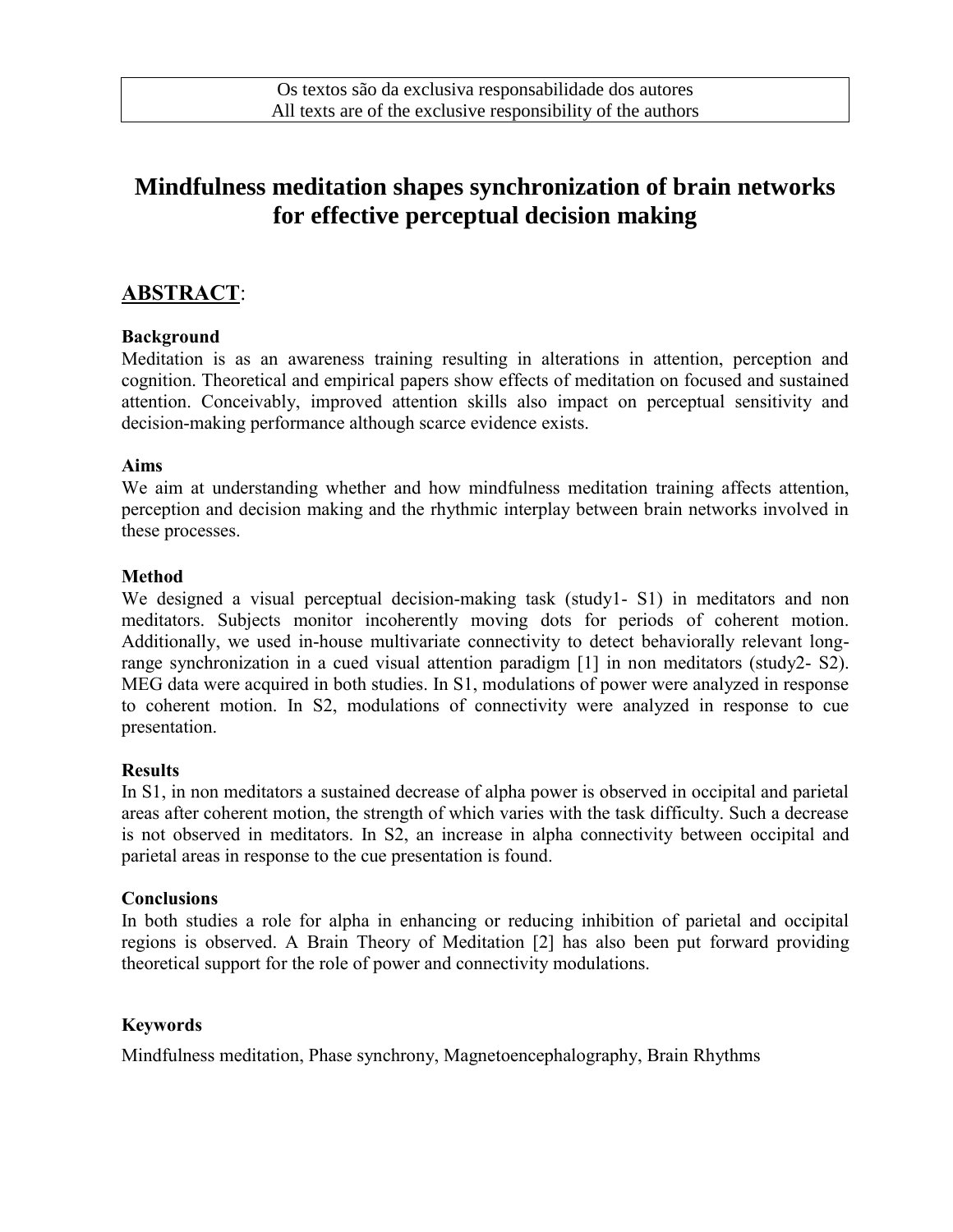# **Mindfulness meditation shapes synchronization of brain networks for effective perceptual decision making**

## **ABSTRACT**:

#### **Background**

Meditation is as an awareness training resulting in alterations in attention, perception and cognition. Theoretical and empirical papers show effects of meditation on focused and sustained attention. Conceivably, improved attention skills also impact on perceptual sensitivity and decision-making performance although scarce evidence exists.

#### **Aims**

We aim at understanding whether and how mindfulness meditation training affects attention, perception and decision making and the rhythmic interplay between brain networks involved in these processes.

#### **Method**

We designed a visual perceptual decision-making task (study1- S1) in meditators and non meditators. Subjects monitor incoherently moving dots for periods of coherent motion. Additionally, we used in-house multivariate connectivity to detect behaviorally relevant longrange synchronization in a cued visual attention paradigm [1] in non meditators (study2- S2). MEG data were acquired in both studies. In S1, modulations of power were analyzed in response to coherent motion. In S2, modulations of connectivity were analyzed in response to cue presentation.

#### **Results**

In S1, in non meditators a sustained decrease of alpha power is observed in occipital and parietal areas after coherent motion, the strength of which varies with the task difficulty. Such a decrease is not observed in meditators. In S2, an increase in alpha connectivity between occipital and parietal areas in response to the cue presentation is found.

#### **Conclusions**

In both studies a role for alpha in enhancing or reducing inhibition of parietal and occipital regions is observed. A Brain Theory of Meditation [2] has also been put forward providing theoretical support for the role of power and connectivity modulations.

#### **Keywords**

Mindfulness meditation, Phase synchrony, Magnetoencephalography, Brain Rhythms